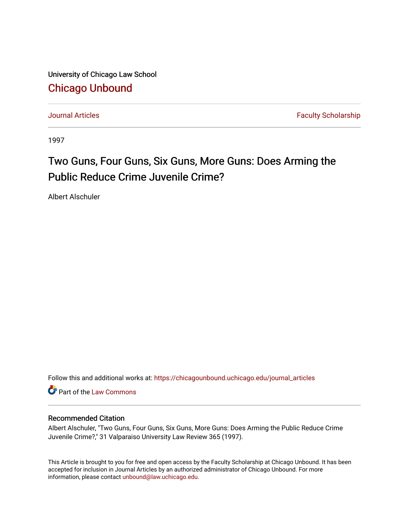University of Chicago Law School [Chicago Unbound](https://chicagounbound.uchicago.edu/)

[Journal Articles](https://chicagounbound.uchicago.edu/journal_articles) **Faculty Scholarship Journal Articles** 

1997

# Two Guns, Four Guns, Six Guns, More Guns: Does Arming the Public Reduce Crime Juvenile Crime?

Albert Alschuler

Follow this and additional works at: [https://chicagounbound.uchicago.edu/journal\\_articles](https://chicagounbound.uchicago.edu/journal_articles?utm_source=chicagounbound.uchicago.edu%2Fjournal_articles%2F1009&utm_medium=PDF&utm_campaign=PDFCoverPages) 

**C** Part of the [Law Commons](http://network.bepress.com/hgg/discipline/578?utm_source=chicagounbound.uchicago.edu%2Fjournal_articles%2F1009&utm_medium=PDF&utm_campaign=PDFCoverPages)

### Recommended Citation

Albert Alschuler, "Two Guns, Four Guns, Six Guns, More Guns: Does Arming the Public Reduce Crime Juvenile Crime?," 31 Valparaiso University Law Review 365 (1997).

This Article is brought to you for free and open access by the Faculty Scholarship at Chicago Unbound. It has been accepted for inclusion in Journal Articles by an authorized administrator of Chicago Unbound. For more information, please contact [unbound@law.uchicago.edu](mailto:unbound@law.uchicago.edu).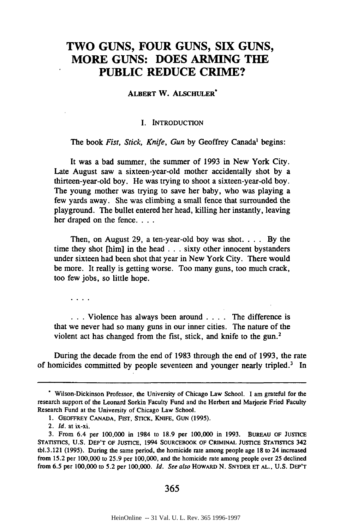## **TWO GUNS, FOUR GUNS, SIX GUNS, MORE GUNS: DOES ARMING THE PUBLIC REDUCE CRIME?**

ALBERT W. ALSCHULER\*

#### **I. INTRODUCTION**

The book *Fist, Stick, Knife, Gun* **by** Geoffrey Canada' begins:

It was a bad summer, the summer of **1993** in New York City. Late August saw a sixteen-year-old mother accidentally shot **by** a thirteen-year-old boy. He was trying to shoot a sixteen-year-old boy. The young mother was trying to save her baby, who was playing a few yards away. She was climbing a small fence that surrounded the playground. The bullet entered her head, killing her instantly, leaving her draped on the **fence....**

Then, on August 29, a ten-year-old boy was shot. . **.** . By the time they shot [him] in the head **. . .** sixty other innocent bystanders under sixteen had been shot that year in New York City. There would be more. It really is getting worse. Too many guns, too much crack, too few jobs, so little hope.

 $\mathbf{v} = \mathbf{v} + \mathbf{v} + \mathbf{v}$ 

• **. .** Violence has always been around . **. .** . The difference is that we never had so many guns in our inner cities. The nature of the violent act has changed from the fist, stick, and knife to the gun.<sup>2</sup>

During the decade from the end of 1983 through the end of 1993, the rate of homicides committed by people seventeen and younger nearly tripled.' In

#### 365

Wilson-Dickinson Professor, the University of Chicago Law School. I am grateful for the research support of the Leonard Sorkin Faculty Fund and the Herbert and Marjorie Fried Faculty Research Fund at the University of Chicago Law School.

**<sup>1.</sup>** GEOFFREY **CANADA,** FIST, STICK, **KNIFE, GUN (1995).**

<sup>2.</sup> *Id.* at ix-xi.

**<sup>3.</sup>** From 6.4 per 100,000 in 1984 to 18.9 per 100,000 in 1993. BUREAU OF JUSTICE STATISTICS, **U.S.** DEP'T OF JUSTICE, 1994 SOURCEBOOK OF CRIMINAL JUSTICE STATISTICS 342 tbl.3.121 (1995). During the same period, the homicide rate among people age 18 to 24 increased from 15.2 per 100,000 to 25.9 per 100,000, and the homicide rate among people over 25 declined from 6.5 per 100,000 to 5.2 per 100,000. *Id. See also* HOWARD N. SNYDER **ET AL., U.S.** DEP'T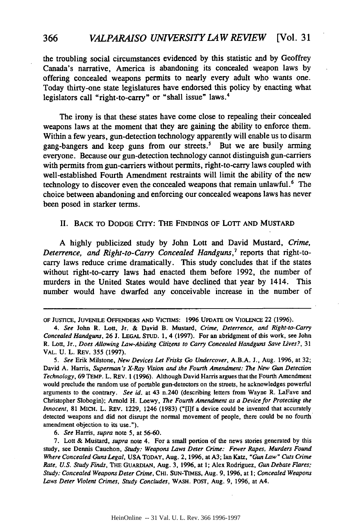the troubling social circumstances evidenced by this statistic and by Geoffrey Canada's narrative, America is abandoning its concealed weapon laws **by** offering concealed weapons permits to nearly every adult who wants one. Today thirty-one state legislatures have endorsed this policy by enacting what legislators call "right-to-carry" or "shall issue" laws.<sup>4</sup>

The irony is that these states have come close to repealing their concealed weapons laws at the moment that they are gaining the ability to enforce them. Within a few years, gun-detection technology apparently will enable us to disarm gang-bangers and keep guns from our streets.' But we are busily arming everyone. Because our gun-detection technology cannot distinguish gun-carriers with permits from gun-carriers without permits, right-to-carry laws coupled with well-established Fourth Amendment restraints will limit the ability of the new technology to discover even the concealed weapons that remain unlawful.<sup>6</sup> The choice between abandoning and enforcing our concealed weapons laws has never been posed in starker terms.

#### **II.** BACK TO **DODGE** CITY: THE **FINDINGS** OF LOTT **AND MUSTARD**

**A highly** publicized study **by** John Lott and David Mustard, *Crime, Deterrence, and Right-to-Carry Concealed Handguns,7* reports that right-tocarry laws reduce crime dramatically. This study concludes that if the states without right-to-carry laws had enacted them before **1992,** the number of murders in the United States would have declined that year **by** 1414. This number would have dwarfed any conceivable increase **in** the number of

*6.* See *Harris,* supra note 5, at 56-60.

**OF JUSTICE, JUVENILE OFFENDERS AND VICTIMS: 1996 UPDATE ON VIOLENCE 22 (1996).**

*<sup>4.</sup>* See **John R. Lott, Jr. & David B. Mustard,** Crime, Deterrence, and Right-to-Carry Concealed Handguns, **26 J. LEGAL STUD. 1.** 4 (1997). For an abridgment of this work, see John **R.** Lott, Jr., Does Allowing Law-Abiding Citizens to Carry Concealed Handguns Save Lives?, **31** VAL. **U.** L. REV. **355 (1997).**

*<sup>5.</sup>* See Erik Milstone, New Devices Let Frisks Go Undercover, **A.B.A. J.,** Aug. **1996,** at **32;** David **A.** Harris, Superman's X-Ray Vision and the Fourth Amendment: *The* New Gun Detection Technology, **69 TEMP. L. REV. 1 (1996). Although David Harris argues that** the **Fourth Amendment would preclude the random use of portable gun-detectors on** the **streets, he acknowledges powerful arguments to the contrary.** See id. at 43 n.240 (describing letters from Wayne R. LaFave and Christopher Slobogin); Arnold H. Loewy, The Fourth Amendment as a Device for Protecting the Innocent, **81** MICH. L. REV. **1229,** 1246 **(1983) ("[I]f** a device could be invented that accurately detected weapons and did not disrupt the normal movement of people, **there** could be no fourth amendment objection to its use.").

<sup>7.</sup> Lott & Mustard, supra note 4. For a small portion of the news stories generated by this study, see Dennis Cauchon, Study: Weapons Laws Deter Crime: Fewer Rapes, Murders Found Where Concealed Guns Legal, **USA** TODAY, Aug. 2, **1996,** at **A3; Ian Katz,** "Gun Law" Cuts Crime Rate, **U.S.** Study Finds, **THE** GUARDIAN, Aug. **3, 1996,** at **1;** Alex Rodriguez, Gun Debate Flares; Study: Concealed Weapons Deter Crime, **CHI.** SUN-TIMES, Aug. **9, 1996,** at **1;** Concealed Weapons Laws Deter Violent Crimes, Study Concludes, WASH. POST, Aug. **9, 1996,** at A4.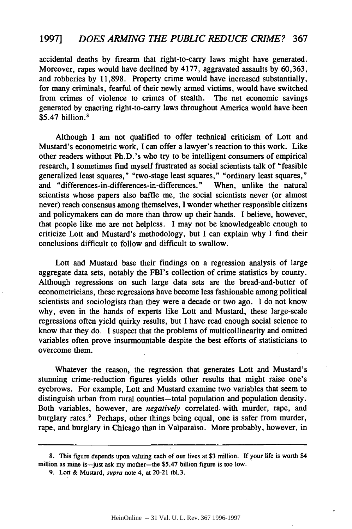accidental deaths by firearm that right-to-carry laws might have generated. Moreover, rapes would have declined by 4177, aggravated assaults by 60,363, and robberies by 11,898. Property crime would have increased substantially, for many criminals, fearful of their newly armed victims, would have switched from crimes of violence to crimes of stealth. The net economic savings generated by enacting right-to-carry laws throughout America would have been \$5.47 billion.<sup>8</sup>

Although I am not qualified to offer technical criticism of Lott and Mustard's econometric work, I can offer a lawyer's reaction to this work. Like other readers without Ph.D.'s who try to be intelligent consumers of empirical research, I sometimes find myself frustrated as social scientists talk of "feasible generalized least squares," "two-stage least squares," "ordinary least squares," and "differences-in-differences-in-differences." When, unlike the natural scientists whose papers also baffle me, the social scientists never (or almost never) reach consensus among themselves, I wonder whether responsible citizens and policymakers can do more than throw up their hands. I believe, however, that people like me are not helpless. I may not be knowledgeable enough to criticize Lott and Mustard's methodology, but I can explain why I find their conclusions difficult to follow and difficult to swallow.

Lott and Mustard base their findings on a regression analysis of large aggregate data sets, notably the FBI's collection of crime statistics by county. Although regressions on such large data sets are the bread-and-butter of econometricians, these regressions have become less fashionable among political scientists and sociologists than they were a decade or two ago. I do not know why, even in the hands of experts like Lott and Mustard, these large-scale regressions often yield quirky results, but I have read enough social science to know that they do. I suspect that the problems of multicollinearity and omitted variables often prove insurmountable despite the best efforts of statisticians to overcome them.

Whatever the reason, the regression that generates Lott and Mustard's stunning crime-reduction figures yields other results that might raise one's eyebrows. For example, Lott and Mustard examine two variables that seem to distinguish urban from rural counties-total population and population density. Both variables, however, are *negatively* correlated. with murder, rape, and burglary rates.<sup>9</sup> Perhaps, other things being equal, one is safer from murder, rape, and burglary in Chicago than in Valparaiso. More probably, however, in

<sup>8.</sup> This figure depends upon valuing each of our lives at \$3 million. If your life is worth \$4 million as mine is-just ask my mother-the \$5.47 billion figure is too low.

<sup>9.</sup> Lott & Mustard, *supra* note 4, at 20-21 tbl.3.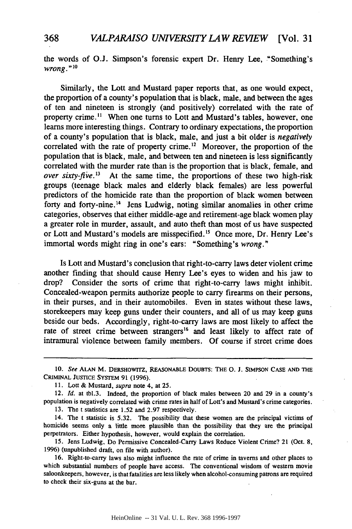the words of **O.J.** Simpson's forensic expert Dr. Henry Lee, "Something's *wrong.* **" 10**

Similarly, the Lott and Mustard paper reports that, as one would expect, the proportion of a county's population that is black, male, and between the ages of ten and nineteen is strongly (and positively) correlated with the rate of property crime.<sup>11</sup> When one turns to Lott and Mustard's tables, however, one learns more interesting things. Contrary to ordinary expectations, the proportion of a county's population that is black, male, and just a bit older is *negatively* correlated with the rate of property crime.<sup>12</sup> Moreover, the proportion of the population that is black, male, and between ten and nineteen is less significantly correlated with the murder rate than is the proportion that is black, female, and *over sixty-five.*<sup>13</sup> At the same time, the proportions of these two high-risk groups (teenage black males and elderly black females) are less powerful predictors of the homicide rate than the proportion of black women between forty and forty-nine.<sup>14</sup> Jens Ludwig, noting similar anomalies in other crime categories, observes that either middle-age and retirement-age black women play a greater role in murder, assault, and auto theft than most of us have suspected or Lott and Mustard's models are misspecified.<sup>15</sup> Once more, Dr. Henry Lee's immortal words might ring in one's ears: "Something's *wrong."*

Is Lott and Mustard's conclusion that right-to-carry laws deter violent crime another finding that should cause Henry Lee's eyes to widen and his jaw to drop? Consider the sorts of crime that right-to-carry laws might inhibit. Concealed-weapon permits authorize people to carry firearms on their persons, in their purses, and in their automobiles. Even in states without these laws, storekeepers may keep guns under their counters, and all of us may keep guns beside our beds. Accordingly, right-to-carry laws are most likely to affect the rate of street crime between strangers<sup>16</sup> and least likely to affect rate of intramural violence between family members. Of course if street crime does

13. The t statistics are 1.52 and 2.97 respectively.

**<sup>10.</sup>** See **ALAN** M. DERSHOWITZ, REASONABLE **DOUBTS:** THE **0. J.** SIMPSON **CASE AND** THE CRIMINAL JUSTICE SYSTEM **91 (1996).**

**<sup>11.</sup>** Lott **&** Mustard, supra note 4, at 25.

<sup>12.</sup> *Id.* at tbl.3. Indeed, the proportion of black males between 20 and 29 in a county's population is negatively correlated with crime rates in half of Lott's and Mustard's crime categories.

<sup>14.</sup> The t statistic is 5.32. The possibility that these women are the principal victims of homicide seems only a little more plausible than the possibility that they are the principal perpetrators. Either hypothesis, however, would explain the correlation.

<sup>15.</sup> Jens Ludwig, Do Permissive Concealed-Carry Laws Reduce Violent Crime? 21 (Oct. **8,** 1996) (unpublished draft, on file with author).

<sup>16.</sup> Right-to-carry laws also might influence the rate of crime in taverns and other places to which substantial numbers of people have access. The conventional wisdom of western movie saloonkeepers, however, is that fatalities are less likely when alcohol-consuming patrons are required to check their six-guns at the bar.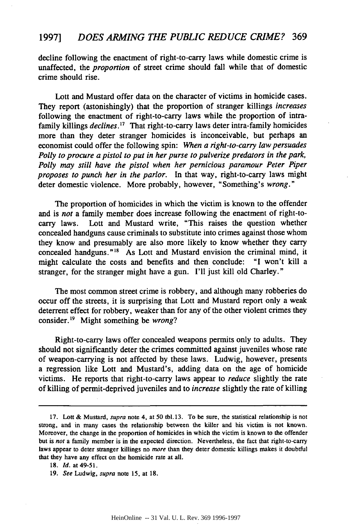decline following the enactment of right-to-carry laws while domestic crime is unaffected, the *proportion* of street crime should fall while that of domestic crime should rise.

Lott and Mustard offer data on the character of victims in homicide cases. They report (astonishingly) that the proportion of stranger killings *increases* following the enactment of right-to-carry laws while the proportion of intrafamily killings *declines. 17* That right-to-carry laws deter intra-family homicides more than they deter stranger homicides is inconceivable, but perhaps an economist could offer the following spin: *When a right-to-carry law persuades Polly to procure a pistol to put in her purse to pulverize predators in the park, Polly may still have the pistol when her pernicious paramour Peter Piper proposes to punch her in the parlor.* In that way, right-to-carry laws might deter domestic violence. More probably, however, "Something's *wrong."*

The proportion of homicides in which the victim is known to the offender and is *not* a family member does increase following the enactment of right-tocarry laws. Lott and Mustard write, "This raises the question whether concealed handguns cause criminals to substitute into crimes against those whom they know and presumably are also more likely to know whether they carry concealed handguns."<sup>18</sup> As Lott and Mustard envision the criminal mind, it might calculate the costs and benefits and then conclude: "I won't kill a stranger, for the stranger might have a gun. I'll just kill old Charley."

The most common street crime is robbery, and although many robberies do occur off the streets, it is surprising that Lott and Mustard report only a weak deterrent effect for robbery, weaker than for any of the other violent crimes they consider.<sup>19</sup> Might something be *wrong*?

Right-to-carry laws offer concealed weapons permits only to adults. They should not significantly deter the crimes committed against juveniles whose rate of weapon-carrying is not affected by these laws. Ludwig, however, presents a regression like Lott and Mustard's, adding data on the age of homicide victims. He reports that right-to-carry laws appear to *reduce* slightly the rate of killing of permit-deprived juveniles and to *increase* slightly the rate of killing

**<sup>17.</sup>** Lott **&** Mustard, supra note 4, at 50 tbl. 13. To be sure, the statistical relationship is not strong, and in many cases the relationship between the killer and his victim is not known. Moreover, the change in the proportion of homicides in which the victim is known to the offender but is not a family member is in the expected direction. Nevertheless, the fact that right-to-carry laws appear to deter stranger killings no more than they deter domestic killings makes it doubtful that they have any effect on the homicide rate at all.

**<sup>18.</sup>** *Id.* at 49-51.

<sup>19.</sup> *See* Ludwig, supra note 15, at 18.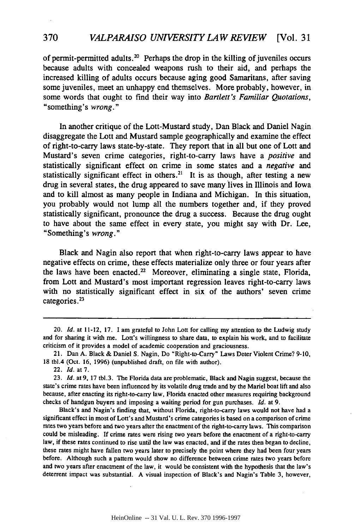of permit-permitted adults.<sup>20</sup> Perhaps the drop in the killing of juveniles occurs because adults with concealed weapons rush to their aid, and perhaps the increased killing of adults occurs because aging good Samaritans, after saving some juveniles, meet an unhappy end themselves. More probably, however, in some words that ought to find their way into *Bartlett's Familiar Quotations,* "something's *wrong."*

In another critique of the Lott-Mustard study, Dan Black and Daniel Nagin disaggregate the Lott and Mustard sample geographically and examine the effect of right-to-carry laws state-by-state. They report that in all but one of Lott and Mustard's seven crime categories, right-to-carry laws have a *positive and* statistically significant effect on crime in some states and a *negative* and statistically significant effect in others.<sup>21</sup> It is as though, after testing a new drug in several states, the drug appeared to save many lives in Illinois and Iowa and to kill almost as many people in Indiana and Michigan. In this situation, you probably would not lump all the numbers together and, if they proved statistically significant, pronounce the drug a success. Because the drug ought to have about the same effect in every state, you might say with Dr. Lee, "Something's *wrong."*

Black and Nagin also report that when right-to-carry laws appear to have negative effects on crime, these effects materialize only three or four years after the laws have been enacted.<sup>22</sup> Moreover, eliminating a single state, Florida, from Lott and Mustard's most important regression leaves right-to-carry laws with no statistically significant effect in six of the authors' seven crime categories. <sup>23</sup>

Black's and Nagin's finding that, without Florida, right-to-carry laws would not have had a significant effect in most of Lott's and Mustard's crime categories is based on a comparison of crime rates two years before and two years after the enactment of the right-to-carry laws. This comparison could be misleading. **If** crime rates were rising two years before the enactment of a right-to-carry law, if these rates continued to rise until the law was enacted, and if the rates then began to decline, these rates might have fallen two years later to precisely the point where they had been four years before. Although such a pattern would show no difference between crime rates two years before and two years after enactment of the law, it would be consistent with the hypothesis that the law's deterrent impact was substantial. **A** visual inspection of Black's and Nagin's Table **3,** however,

<sup>20.</sup> *Id.* at 11-12, **17. I** am grateful to John **Lot** for calling my attention to the Ludwig study and for sharing it with me. Lott's willingness to share data, to explain his work, and to facilitate criticism of it provides a model of academic cooperation and graciousness.

<sup>21.</sup> Dan **A.** Black **&** Daniel **S.** Nagin, Do "Right-to-Carry" Laws Deter Violent Crime? **9-10, 18** tbl.4 (Oct. **16, 1996)** (unpublished draft, on file with author).

<sup>22.</sup> **Id.** at **7.**

**<sup>23.</sup> Id.** at **9, 17** tbl.3. The Florida data are problematic, Black and Nagin suggest, because the state's crime rates have been influenced **by** its volatile drug trade and **by** the Mariel boat lift and also because, after enacting its right-to-carry law, Florida enacted other measures requiring background checks of handgun buyers and imposing a waiting period for gun purchases. **Id.** at **9.**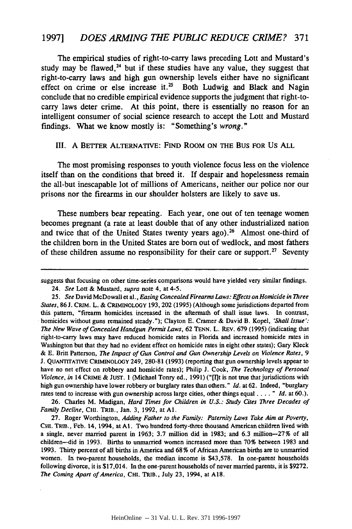The empirical studies of right-to-carry laws preceding Lott and Mustard's study may be flawed,<sup>24</sup> but if these studies have any value, they suggest that right-to-carry laws and high gun ownership levels either have no significant effect on crime or else increase it.<sup>25</sup> Both Ludwig and Black and Nagin conclude that no credible empirical evidence supports the judgment that right-tocarry laws deter crime. At this point, there is essentially no reason for an intelligent consumer of social science research to accept the Lott and Mustard findings. What we know mostly is: "Something's *wrong."*

#### **III. A** BETTER ALTERNATIVE: **FIND ROOM ON THE BUS FOR** Us **ALL**

The most promising responses to youth violence focus less on the violence itself than on the conditions that breed it. If despair and hopelessness remain the all-but inescapable lot of millions of Americans, neither our police nor our prisons nor the firearms in our shoulder holsters are likely to save us.

These numbers bear repeating. Each year, one out of ten teenage women becomes pregnant (a rate at least double that of any other industrialized nation and twice that of the United States twenty years ago).<sup>26</sup> Almost one-third of the children born in the United States are born out of wedlock, and most fathers of these children assume no responsibility for their care or support.<sup>27</sup> Seventy

26. Charles M. Madigan, *Hard Times for Children in U.S.: Study Cites Three Decades of Family Decline,* CHI. TRIB., Jan. 3, 1992, at **Al.**

27. Roger Worthington, *Adding Father to the Family: Paternity Laws Take Aim at Poverty,* **CHI.** TRIB., Feb. 14, 1994, at **Al.** Two hundred forty-three thousand American children lived with a single, never married parent in 1963; 3.7 million did in 1983; and 6.3 million-27% of all children-did in 1993. Births to unmarried women increased more than 70% between 1983 and 1993. Thirty percent of all births in America and 68 % of African American births are to unmarried women. In two-parent households, the median income is \$43,578. In one-parent households following divorce, it is \$17,014. In the one-parent households of never married parents, it is \$9272. *The Coming Apart of America,* CHI. TRIB., July 23, 1994, at A18.

suggests that focusing on other time-series comparisons would have yielded very similar findings.

<sup>24.</sup> *See Lott* & Mustard, *supra* note 4, at 4-5.

*<sup>25.</sup> See* David McDowall et al., *Easing Concealed Firearms Laws: Effects on Homicide in Three States,* 86 **J.** CRIM. L. **&** CRIMINOLOGY 193, 202 (1995) (Although some jurisdictions departed from this pattern, "firearm homicides increased in the aftermath of shall issue laws. In contrast, homicides without guns remained steady."); Clayton E. Cramer & David B. Kopel, *'Shall Issue': The New Wave of Concealed Handgun Permit Laws,* 62 TENN. L. REv. 679 (1995) (indicating that right-to-carry laws may have reduced homicide rates in Florida and increased homicide rates in Washington but that they had no evident effect on homicide rates in eight other states); Gary Kleck & E. Britt Patterson, *The Impact of Gun Control and Gun Ownership Levels on Violence Rates, 9* **J.** QUANTrrATIVE CRIMINOLOGY 249, 280-81 (1993) (reporting that gun ownership levels appear to have no net effect on robbery and homicide rates); Philip **J.** Cook, *The Technology of Personal Violence, in* 14 CRIME **&** JUST. 1 (Michael Tonry ed., 1991) ("[Ilt is not true that jurisdictions with high gun ownership have lower robbery or burglary rates than others." *Id.* at 62. Indeed, "burglary rates tend to increase with gun ownership across large cities, other things equal .... *" Id.* at 60.).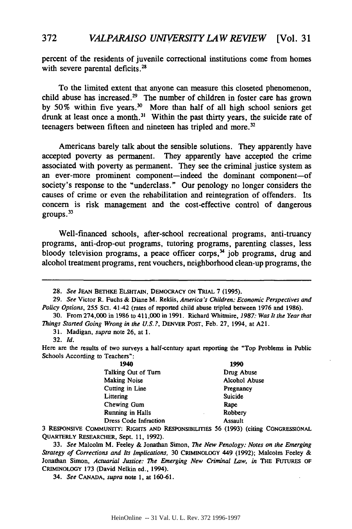percent of the residents of juvenile correctional institutions come from homes with severe parental deficits.<sup>28</sup>

To the limited extent that anyone can measure this closeted phenomenon, child abuse has increased.29 The number of children in foster care has grown by 50% within five years.<sup>30</sup> More than half of all high school seniors get drunk at least once a month.<sup>31</sup> Within the past thirty years, the suicide rate of teenagers between fifteen and nineteen has tripled and more.<sup>32</sup>

Americans barely talk about the sensible solutions. They apparently have accepted poverty as permanent. They apparently have accepted the crime associated with poverty as permanent. They see the criminal justice system as an ever-more prominent component-indeed the dominant component-of society's response to the "underclass." Our penology no longer considers the causes of crime or even the rehabilitation and reintegration of offenders. Its concern is risk management and the cost-effective control of dangerous groups. $33$ 

Well-financed schools, after-school recreational programs, anti-truancy programs, anti-drop-out programs, tutoring programs, parenting classes, less bloody television programs, a peace officer corps,<sup>34</sup> job programs, drug and alcohol treatment programs, rent vouchers, neighborhood clean-up programs, the

32. Id.

Here are the results of two surveys a half-century apart reporting the "Top Problems in Public Schools According to Teachers":

| 1940                         | 1990                                            |
|------------------------------|-------------------------------------------------|
| Talking Out of Turn          | Drug Abuse                                      |
| <b>Making Noise</b>          | Alcohol Abuse                                   |
| Cutting in Line              | Pregnancy                                       |
| Littering                    | <b>Suicide</b>                                  |
| Chewing Gum                  | Rape                                            |
| Running in Halls             | Robbery                                         |
| <b>Dress Code Infraction</b> | Assault                                         |
|                              | $P$ $I$ $I$ $I$ $R$ $R$ $R$ $I$ $I$ $I$ $I$ $I$ |

3 RESPONSIVE COMMUNITY: RIGHTS **AND** RESPONSIBILITIES **56** (1993) (citing CONGRESSIONAL **QUARTERLY** RESEARCHER, Sept. 11, 1992).

33. See Malcolm M. Feeley & Jonathan Simon, *The* New Penology: Notes on the Emerging Strategy of Corrections and Its Implications, 30 CRIMINOLOGY 449 (1992); Malcolm Feeley & Jonathan Simon, Actuarial Justice: **The** Emerging New Criminal Law, in THE FUTURES **OF** CRIMINOLOGY 173 (David Nelkin ed., 1994).

34. See **CANADA,** supra note 1, at 160-61.

**<sup>28.</sup>** See **JEAN BETHKE ELSHTAIN, DEMOCRACY ON TRIAL 7 (1995).**

<sup>29.</sup> See Victor R. Fuchs & Diane M. Reklis, America's Children: Economic Perspectives and Policy Options, 255 SCI. 41-42 (rates of reported child abuse tripled between 1976 and 1986).

<sup>30.</sup> From 274,000 in 1986 to 411,000 in 1991. Richard Whitmire, 1987: Was *It* the Year that *Things* Started Going Wrong in the U.S.?, DENVER **POST,** Feb. 27, 1994, at A21.

<sup>31.</sup> Madigan, supra note **26,** at 1.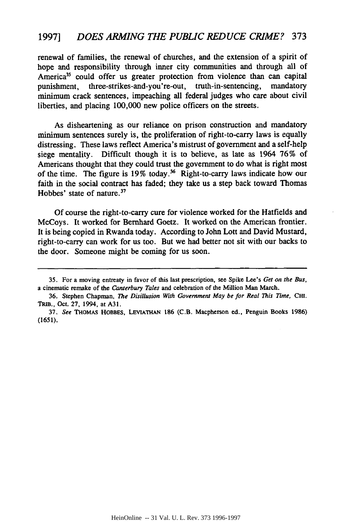renewal of families, the renewal of churches, and the extension of a spirit of hope and responsibility through inner city communities and through all of America<sup>35</sup> could offer us greater protection from violence than can capital punishment, three-strikes-and-you're-out, truth-in-sentencing, mandatory minimum crack sentences, impeaching all federal judges who care about civil liberties, and placing 100,000 new police officers on the streets.

As disheartening as our reliance on prison construction and mandatory minimum sentences surely is, the proliferation of right-to-carry laws is equally distressing. These laws reflect America's mistrust of government and a self-help siege mentality. Difficult though it is to believe, as late as 1964 76% of Americans thought that they could trust the government to do what is right most of the time. The figure is  $19\%$  today.<sup>36</sup> Right-to-carry laws indicate how our faith in the social contract has faded; they take us a step back toward Thomas Hobbes' state of nature.<sup>37</sup>

Of course the right-to-carry cure for violence worked for the Hatfields and McCoys. It worked for Bernhard Goetz. It worked on the American frontier. It is being copied in Rwanda today. According to John Lott and David Mustard, right-to-carry can work for us too. But we had better not sit with our backs to the door. Someone might be coming for us soon.

**<sup>35.</sup>** For a moving entreaty in favor of this last prescription, see Spike Lee's *Get on the Bus,* a cinematic remake of the *Canterbury Tales* and celebration of the Million Man March.

<sup>36.</sup> Stephen Chapman, *The Disillusion With Government May be for Real This Time*, CHI. TRIB., Oct. **27,** 1994, at **A31.**

**<sup>37.</sup>** *See* THOMAS HOBBES, **LEVIATHAN 186** (C.B. Macpherson **ed.,** Penguin Books **1986)** (1651).